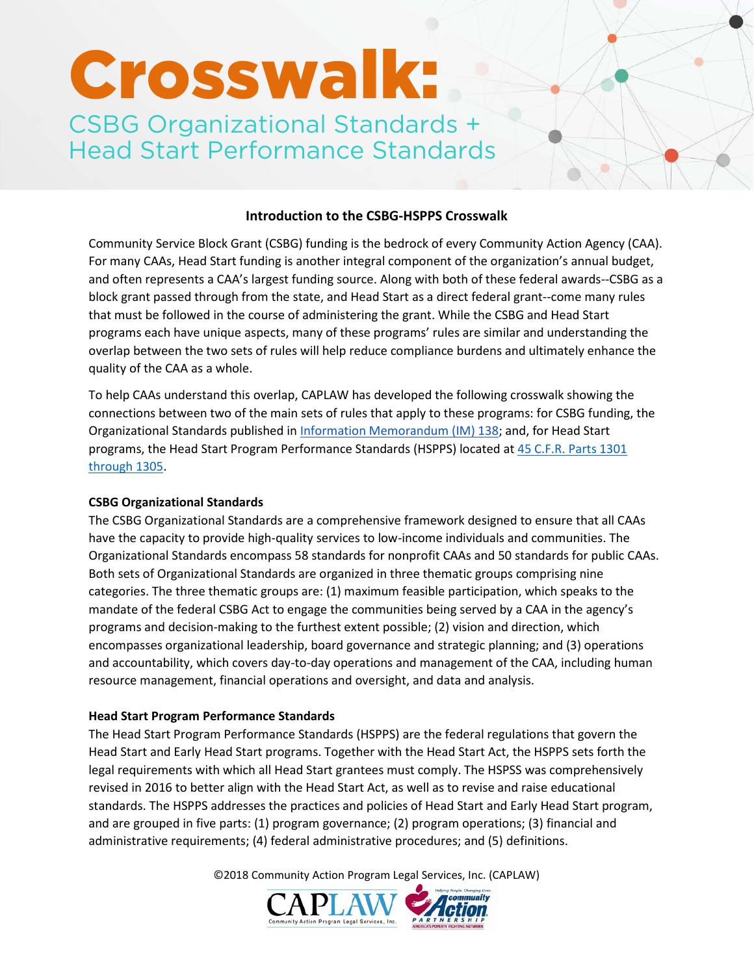# Crosswalk:

CSBG Organizational Standards + Head Start Performance Standards

# **Introduction to the CSBG-HSPPS Crosswalk**

Community Service Block Grant (CSBG) funding is the bedrock of every Community Action Agency (CAA). For many CAAs, Head Start funding is another integral component of the organization's annual budget, and often represents a CAA's largest funding source. Along with both of these federal awards--CSBG as a block grant passed through from the state, and Head Start as a direct federal grant--come many rules that must be followed in the course of administering the grant. While the CSBG and Head Start programs each have unique aspects, many of these programs' rules are similar and understanding the overlap between the two sets of rules will help reduce compliance burdens and ultimately enhance the quality of the CAA as a whole.

To help CAAs understand this overlap, CAPLAW has developed the following crosswalk showing the connections between two of the main sets of rules that apply to these programs: for CSBG funding, the Organizational Standards published in [Information Memorandum \(IM\) 138;](http://www.acf.hhs.gov/programs/ocs/resource/csbg-im-138-state-establishment-of-organizational-standards-for-csbg-eligible-entities) and, for Head Start programs, the Head Start Program Performance Standards (HSPPS) located a[t 45 C.F.R. Parts 1301](https://eclkc.ohs.acf.hhs.gov/policy/45-cfr-chap-xiii)  [through 1305.](https://eclkc.ohs.acf.hhs.gov/policy/45-cfr-chap-xiii)

### **CSBG Organizational Standards**

The CSBG Organizational Standards are a comprehensive framework designed to ensure that all CAAs have the capacity to provide high-quality services to low-income individuals and communities. The Organizational Standards encompass 58 standards for nonprofit CAAs and 50 standards for public CAAs. Both sets of Organizational Standards are organized in three thematic groups comprising nine categories. The three thematic groups are: (1) maximum feasible participation, which speaks to the mandate of the federal CSBG Act to engage the communities being served by a CAA in the agency's programs and decision-making to the furthest extent possible; (2) vision and direction, which encompasses organizational leadership, board governance and strategic planning; and (3) operations and accountability, which covers day-to-day operations and management of the CAA, including human resource management, financial operations and oversight, and data and analysis.

## **Head Start Program Performance Standards**

The Head Start Program Performance Standards (HSPPS) are the federal regulations that govern the Head Start and Early Head Start programs. Together with the Head Start Act, the HSPPS sets forth the legal requirements with which all Head Start grantees must comply. The HSPSS was comprehensively revised in 2016 to better align with the Head Start Act, as well as to revise and raise educational standards. The HSPPS addresses the practices and policies of Head Start and Early Head Start program, and are grouped in five parts: (1) program governance; (2) program operations; (3) financial and administrative requirements; (4) federal administrative procedures; and (5) definitions.

©2018 Community Action Program Legal Services, Inc. (CAPLAW)

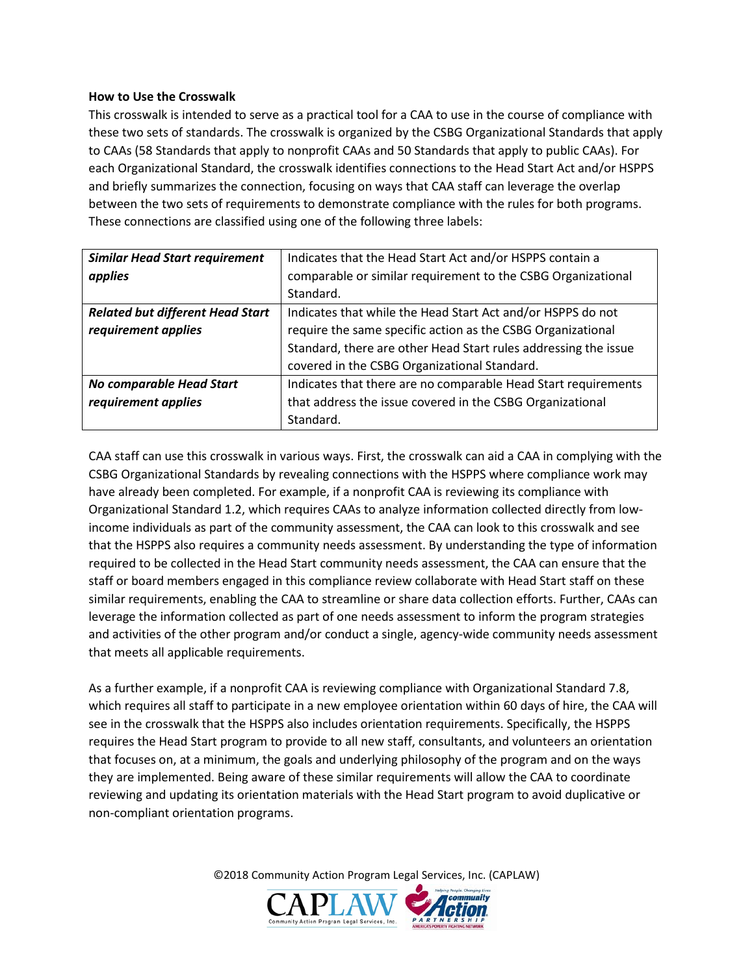### **How to Use the Crosswalk**

This crosswalk is intended to serve as a practical tool for a CAA to use in the course of compliance with these two sets of standards. The crosswalk is organized by the CSBG Organizational Standards that apply to CAAs (58 Standards that apply to nonprofit CAAs and 50 Standards that apply to public CAAs). For each Organizational Standard, the crosswalk identifies connections to the Head Start Act and/or HSPPS and briefly summarizes the connection, focusing on ways that CAA staff can leverage the overlap between the two sets of requirements to demonstrate compliance with the rules for both programs. These connections are classified using one of the following three labels:

| <b>Similar Head Start requirement</b>   | Indicates that the Head Start Act and/or HSPPS contain a        |
|-----------------------------------------|-----------------------------------------------------------------|
| applies                                 | comparable or similar requirement to the CSBG Organizational    |
|                                         | Standard.                                                       |
| <b>Related but different Head Start</b> | Indicates that while the Head Start Act and/or HSPPS do not     |
| requirement applies                     | require the same specific action as the CSBG Organizational     |
|                                         | Standard, there are other Head Start rules addressing the issue |
|                                         | covered in the CSBG Organizational Standard.                    |
| No comparable Head Start                | Indicates that there are no comparable Head Start requirements  |
| requirement applies                     | that address the issue covered in the CSBG Organizational       |
|                                         | Standard.                                                       |

CAA staff can use this crosswalk in various ways. First, the crosswalk can aid a CAA in complying with the CSBG Organizational Standards by revealing connections with the HSPPS where compliance work may have already been completed. For example, if a nonprofit CAA is reviewing its compliance with Organizational Standard 1.2, which requires CAAs to analyze information collected directly from lowincome individuals as part of the community assessment, the CAA can look to this crosswalk and see that the HSPPS also requires a community needs assessment. By understanding the type of information required to be collected in the Head Start community needs assessment, the CAA can ensure that the staff or board members engaged in this compliance review collaborate with Head Start staff on these similar requirements, enabling the CAA to streamline or share data collection efforts. Further, CAAs can leverage the information collected as part of one needs assessment to inform the program strategies and activities of the other program and/or conduct a single, agency-wide community needs assessment that meets all applicable requirements.

As a further example, if a nonprofit CAA is reviewing compliance with Organizational Standard 7.8, which requires all staff to participate in a new employee orientation within 60 days of hire, the CAA will see in the crosswalk that the HSPPS also includes orientation requirements. Specifically, the HSPPS requires the Head Start program to provide to all new staff, consultants, and volunteers an orientation that focuses on, at a minimum, the goals and underlying philosophy of the program and on the ways they are implemented. Being aware of these similar requirements will allow the CAA to coordinate reviewing and updating its orientation materials with the Head Start program to avoid duplicative or non-compliant orientation programs.

©2018 Community Action Program Legal Services, Inc. (CAPLAW)